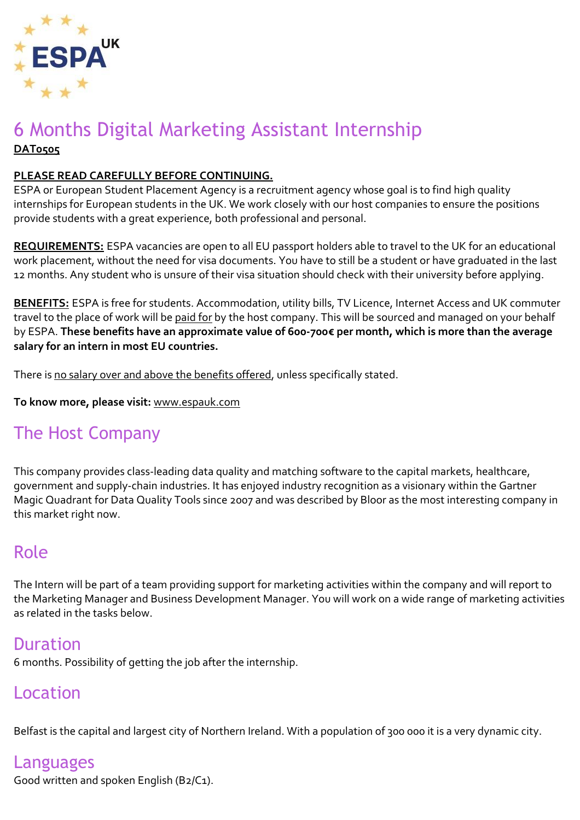

## 6 Months Digital Marketing Assistant Internship **DAT0505**

#### **PLEASE READ CAREFULLY BEFORE CONTINUING.**

ESPA or European Student Placement Agency is a recruitment agency whose goal is to find high quality internships for European students in the UK. We work closely with our host companies to ensure the positions provide students with a great experience, both professional and personal.

**REQUIREMENTS:** ESPA vacancies are open to all EU passport holders able to travel to the UK for an educational work placement, without the need for visa documents. You have to still be a student or have graduated in the last 12 months. Any student who is unsure of their visa situation should check with their university before applying.

**BENEFITS:** ESPA is free for students. Accommodation, utility bills, TV Licence, Internet Access and UK commuter travel to the place of work will be paid for by the host company. This will be sourced and managed on your behalf by ESPA. **These benefits have an approximate value of 600-700€ per month, which is more than the average salary for an intern in most EU countries.**

There is no salary over and above the benefits offered, unless specifically stated.

**To know more, please visit:** [www.espauk.com](http://www.espauk.com/)

# The Host Company

This company provides class-leading data quality and matching software to the capital markets, healthcare, government and supply-chain industries. It has enjoyed industry recognition as a visionary within the Gartner Magic Quadrant for Data Quality Tools since 2007 and was described by Bloor as the most interesting company in this market right now.

# Role

The Intern will be part of a team providing support for marketing activities within the company and will report to the Marketing Manager and Business Development Manager. You will work on a wide range of marketing activities as related in the tasks below.

## Duration

6 months. Possibility of getting the job after the internship.

## Location

Belfast is the capital and largest city of Northern Ireland. With a population of 300 000 it is a very dynamic city.

## Languages

Good written and spoken English (B2/C1).